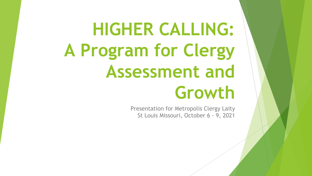# **HIGHER CALLING: A Program for Clergy Assessment and Growth**

Presentation for Metropolis Clergy Laity St Louis Missouri, October 6 - 9, 2021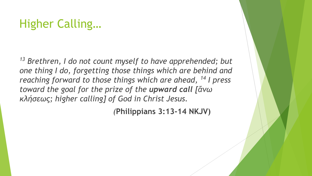# Higher Calling…

<sup>13</sup> Brethren, I do not count myself to have apprehended; but *one thing I do, forgetting those things which are behind and reaching forward to those things which are ahead, <sup>14</sup> I press toward the goal for the prize of the upward call [ἄνω κλήσεως; higher calling] of God in Christ Jesus.* 

*(***Philippians 3:13-14 NKJV)**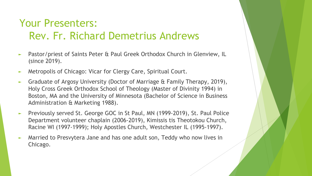#### Your Presenters: Rev. Fr. Richard Demetrius Andrews

- ► Pastor/priest of Saints Peter & Paul Greek Orthodox Church in Glenview, IL (since 2019).
- ► Metropolis of Chicago: Vicar for Clergy Care, Spiritual Court.
- ► Graduate of Argosy University (Doctor of Marriage & Family Therapy, 2019), Holy Cross Greek Orthodox School of Theology (Master of Divinity 1994) in Boston, MA and the University of Minnesota (Bachelor of Science in Business Administration & Marketing 1988).
- ► Previously served St. George GOC in St Paul, MN (1999-2019), St. Paul Police Department volunteer chaplain (2006-2019), Kimissis tis Theotokou Church, Racine WI (1997-1999); Holy Apostles Church, Westchester IL (1995-1997).
- ► Married to Presvytera Jane and has one adult son, Teddy who now lives in Chicago.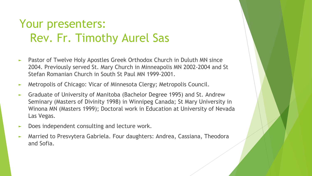# Your presenters: Rev. Fr. Timothy Aurel Sas

- ► Pastor of Twelve Holy Apostles Greek Orthodox Church in Duluth MN since 2004. Previously served St. Mary Church in Minneapolis MN 2002-2004 and St Stefan Romanian Church in South St Paul MN 1999-2001.
- ► Metropolis of Chicago: Vicar of Minnesota Clergy; Metropolis Council.
- ► Graduate of University of Manitoba (Bachelor Degree 1995) and St. Andrew Seminary (Masters of Divinity 1998) in Winnipeg Canada; St Mary University in Winona MN (Masters 1999); Doctoral work in Education at University of Nevada Las Vegas.
- Does independent consulting and lecture work.
- Married to Presvytera Gabriela. Four daughters: Andrea, Cassiana, Theodora and Sofia.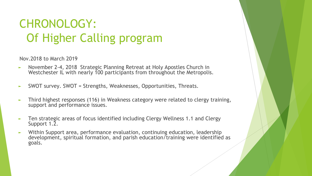# CHRONOLOGY: Of Higher Calling program

Nov.2018 to March 2019

- ► November 2-4, 2018 Strategic Planning Retreat at Holy Apostles Church in Westchester IL with nearly 100 participants from throughout the Metropolis.
- ► SWOT survey. SWOT = Strengths, Weaknesses, Opportunities, Threats.
- Third highest responses (116) in Weakness category were related to clergy training, support and performance issues.
- Ten strategic areas of focus identified including Clergy Wellness 1.1 and Clergy Support 1.2.
- ► Within Support area, performance evaluation, continuing education, leadership development, spiritual formation, and parish education/training were identified as goals.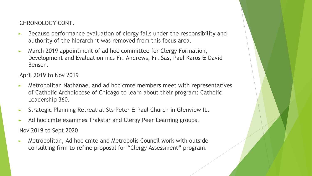CHRONOLOGY CONT.

- ► Because performance evaluation of clergy falls under the responsibility and authority of the hierarch it was removed from this focus area.
- ► March 2019 appointment of ad hoc committee for Clergy Formation, Development and Evaluation inc. Fr. Andrews, Fr. Sas, Paul Karos & David Benson.

April 2019 to Nov 2019

- ► Metropolitan Nathanael and ad hoc cmte members meet with representatives of Catholic Archdiocese of Chicago to learn about their program: Catholic Leadership 360.
- ► Strategic Planning Retreat at Sts Peter & Paul Church in Glenview IL.
- ► Ad hoc cmte examines Trakstar and Clergy Peer Learning groups.

Nov 2019 to Sept 2020

► Metropolitan, Ad hoc cmte and Metropolis Council work with outside consulting firm to refine proposal for "Clergy Assessment" program.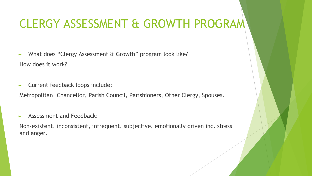## CLERGY ASSESSMENT & GROWTH PROGRAM

► What does "Clergy Assessment & Growth" program look like? How does it work?

► Current feedback loops include:

Metropolitan, Chancellor, Parish Council, Parishioners, Other Clergy, Spouses.

Assessment and Feedback:

Non-existent, inconsistent, infrequent, subjective, emotionally driven inc. stress and anger.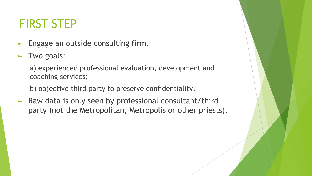## FIRST STEP

- ► Engage an outside consulting firm.
- ► Two goals:

a) experienced professional evaluation, development and coaching services;

b) objective third party to preserve confidentiality.

► Raw data is only seen by professional consultant/third party (not the Metropolitan, Metropolis or other priests).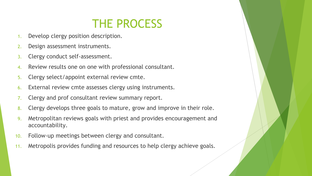#### THE PROCESS

- 1. Develop clergy position description.
- 2. Design assessment instruments.
- 3. Clergy conduct self-assessment.
- 4. Review results one on one with professional consultant.
- 5. Clergy select/appoint external review cmte.
- 6. External review cmte assesses clergy using instruments.
- 7. Clergy and prof consultant review summary report.
- 8. Clergy develops three goals to mature, grow and improve in their role.
- 9. Metropolitan reviews goals with priest and provides encouragement and accountability.
- 10. Follow-up meetings between clergy and consultant.
- 11. Metropolis provides funding and resources to help clergy achieve goals.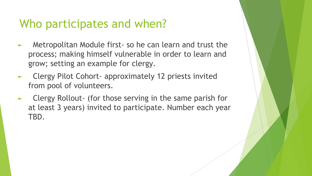#### Who participates and when?

- Metropolitan Module first- so he can learn and trust the process; making himself vulnerable in order to learn and grow; setting an example for clergy.
- Clergy Pilot Cohort- approximately 12 priests invited from pool of volunteers.
- Clergy Rollout- (for those serving in the same parish for at least 3 years) invited to participate. Number each year TBD.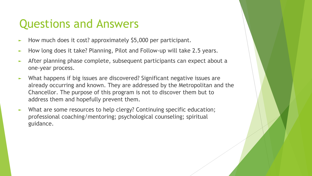#### Questions and Answers

- ► How much does it cost? approximately \$5,000 per participant.
- ► How long does it take? Planning, Pilot and Follow-up will take 2.5 years.
- ► After planning phase complete, subsequent participants can expect about a one-year process.
- ► What happens if big issues are discovered? Significant negative issues are already occurring and known. They are addressed by the Metropolitan and the Chancellor. The purpose of this program is not to discover them but to address them and hopefully prevent them.
- ► What are some resources to help clergy? Continuing specific education; professional coaching/mentoring; psychological counseling; spiritual guidance.